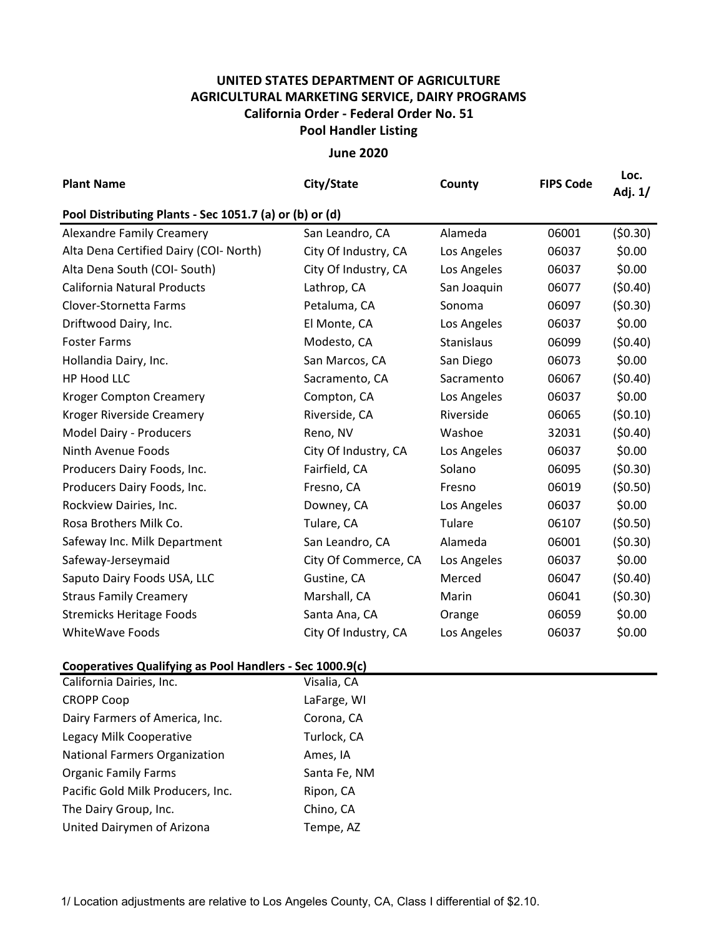## **UNITED STATES DEPARTMENT OF AGRICULTURE AGRICULTURAL MARKETING SERVICE, DAIRY PROGRAMS Pool Handler Listing California Order ‐ Federal Order No. 51**

**June 2020**

| <b>Plant Name</b>                                       | City/State           | County      | <b>FIPS Code</b> | Loc.<br>Adj. 1/ |  |  |  |  |  |
|---------------------------------------------------------|----------------------|-------------|------------------|-----------------|--|--|--|--|--|
| Pool Distributing Plants - Sec 1051.7 (a) or (b) or (d) |                      |             |                  |                 |  |  |  |  |  |
| <b>Alexandre Family Creamery</b>                        | San Leandro, CA      | Alameda     | 06001            | (50.30)         |  |  |  |  |  |
| Alta Dena Certified Dairy (COI- North)                  | City Of Industry, CA | Los Angeles | 06037            | \$0.00          |  |  |  |  |  |
| Alta Dena South (COI- South)                            | City Of Industry, CA | Los Angeles | 06037            | \$0.00          |  |  |  |  |  |
| <b>California Natural Products</b>                      | Lathrop, CA          | San Joaquin | 06077            | (50.40)         |  |  |  |  |  |
| Clover-Stornetta Farms                                  | Petaluma, CA         | Sonoma      | 06097            | (50.30)         |  |  |  |  |  |
| Driftwood Dairy, Inc.                                   | El Monte, CA         | Los Angeles | 06037            | \$0.00          |  |  |  |  |  |
| <b>Foster Farms</b>                                     | Modesto, CA          | Stanislaus  | 06099            | (50.40)         |  |  |  |  |  |
| Hollandia Dairy, Inc.                                   | San Marcos, CA       | San Diego   | 06073            | \$0.00          |  |  |  |  |  |
| HP Hood LLC                                             | Sacramento, CA       | Sacramento  | 06067            | (50.40)         |  |  |  |  |  |
| <b>Kroger Compton Creamery</b>                          | Compton, CA          | Los Angeles | 06037            | \$0.00          |  |  |  |  |  |
| Kroger Riverside Creamery                               | Riverside, CA        | Riverside   | 06065            | (50.10)         |  |  |  |  |  |
| Model Dairy - Producers                                 | Reno, NV             | Washoe      | 32031            | (50.40)         |  |  |  |  |  |
| Ninth Avenue Foods                                      | City Of Industry, CA | Los Angeles | 06037            | \$0.00          |  |  |  |  |  |
| Producers Dairy Foods, Inc.                             | Fairfield, CA        | Solano      | 06095            | (50.30)         |  |  |  |  |  |
| Producers Dairy Foods, Inc.                             | Fresno, CA           | Fresno      | 06019            | (50.50)         |  |  |  |  |  |
| Rockview Dairies, Inc.                                  | Downey, CA           | Los Angeles | 06037            | \$0.00          |  |  |  |  |  |
| Rosa Brothers Milk Co.                                  | Tulare, CA           | Tulare      | 06107            | (50.50)         |  |  |  |  |  |
| Safeway Inc. Milk Department                            | San Leandro, CA      | Alameda     | 06001            | (50.30)         |  |  |  |  |  |
| Safeway-Jerseymaid                                      | City Of Commerce, CA | Los Angeles | 06037            | \$0.00          |  |  |  |  |  |
| Saputo Dairy Foods USA, LLC                             | Gustine, CA          | Merced      | 06047            | (50.40)         |  |  |  |  |  |
| <b>Straus Family Creamery</b>                           | Marshall, CA         | Marin       | 06041            | (50.30)         |  |  |  |  |  |
| <b>Stremicks Heritage Foods</b>                         | Santa Ana, CA        | Orange      | 06059            | \$0.00          |  |  |  |  |  |
| WhiteWave Foods                                         | City Of Industry, CA | Los Angeles | 06037            | \$0.00          |  |  |  |  |  |

## **Cooperatives Qualifying as Pool Handlers ‐ Sec 1000.9(c)**

| California Dairies, Inc.             | Visalia, CA  |
|--------------------------------------|--------------|
| <b>CROPP Coop</b>                    | LaFarge, WI  |
| Dairy Farmers of America, Inc.       | Corona, CA   |
| Legacy Milk Cooperative              | Turlock, CA  |
| <b>National Farmers Organization</b> | Ames, IA     |
| <b>Organic Family Farms</b>          | Santa Fe, NM |
| Pacific Gold Milk Producers, Inc.    | Ripon, CA    |
| The Dairy Group, Inc.                | Chino, CA    |
| United Dairymen of Arizona           | Tempe, AZ    |